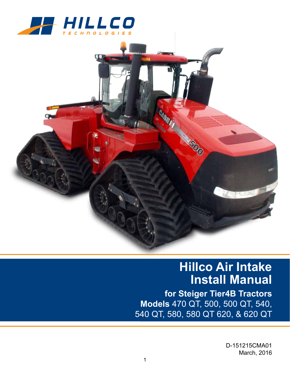



## **Hillco Air Intake Install Manual**

**for Steiger Tier4B Tractors Models** 470 QT, 500, 500 QT, 540, 540 QT, 580, 580 QT 620, & 620 QT

> D-151215CMA01 March, 2016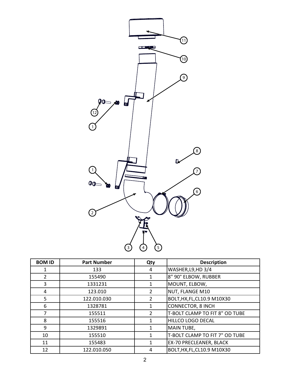

| <b>BOM ID</b>  | <b>Part Number</b> | Qty            | <b>Description</b>             |
|----------------|--------------------|----------------|--------------------------------|
| 1              | 133                | 4              | WASHER, L9, HD 3/4             |
| $\overline{2}$ | 155490             |                | 8" 90° ELBOW, RUBBER           |
| 3              | 1331231            |                | MOUNT, ELBOW,                  |
| 4              | 123.010            | 2              | NUT, FLANGE M10                |
| 5              | 122.010.030        | $\overline{2}$ | BOLT, HX, FL, CL10.9 M10X30    |
| 6              | 1328781            |                | <b>CONNECTOR, 8 INCH</b>       |
| 7              | 155511             | 2              | T-BOLT CLAMP TO FIT 8" OD TUBE |
| 8              | 155516             |                | HILLCO LOGO DECAL              |
| 9              | 1329891            |                | <b>MAIN TUBE,</b>              |
| 10             | 155510             |                | T-BOLT CLAMP TO FIT 7" OD TUBE |
| 11             | 155483             |                | EX-70 PRECLEANER, BLACK        |
| 12             | 122.010.050        | 4              | BOLT, HX, FL, CL10.9 M10X30    |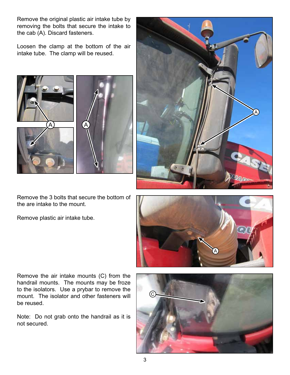Remove the original plastic air intake tube by removing the bolts that secure the intake to the cab (A). Discard fasteners.

Loosen the clamp at the bottom of the air intake tube. The clamp will be reused.



A

Remove the 3 bolts that secure the bottom of the are intake to the mount.

Remove plastic air intake tube.



Remove the air intake mounts (C) from the handrail mounts. The mounts may be froze to the isolators. Use a prybar to remove the mount. The isolator and other fasteners will be reused.

Note: Do not grab onto the handrail as it is not secured.

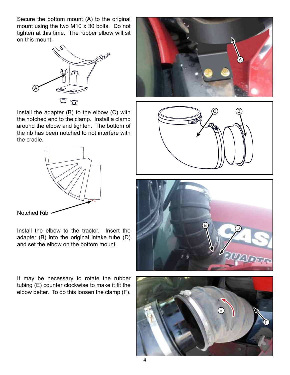Secure the bottom mount (A) to the original mount using the two M10 x 30 bolts. Do not tighten at this time. The rubber elbow will sit on this mount.



Install the adapter (B) to the elbow (C) with the notched end to the clamp. Install a clamp around the elbow and tighten. The bottom of the rib has been notched to not interfere with the cradle.



Install the elbow to the tractor. Insert the adapter (B) into the original intake tube (D) and set the elbow on the bottom mount.

It may be necessary to rotate the rubber tubing (E) counter clockwise to make it fit the elbow better. To do this loosen the clamp (F).







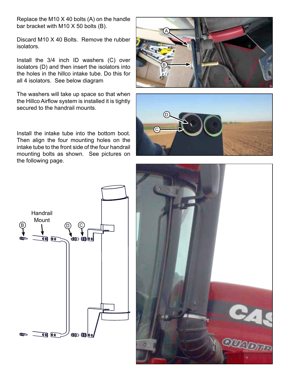Replace the M10 X 40 bolts (A) on the handle bar bracket with M10 X 50 bolts (B).

Discard M10 X 40 Bolts. Remove the rubber isolators.

Install the 3/4 inch ID washers (C) over isolators (D) and then insert the isolators into the holes in the hillco intake tube. Do this for all 4 isolators. See below diagram

The washers will take up space so that when the Hillco Airflow system is installed it is tightly secured to the handrail mounts.





Install the intake tube into the bottom boot. Then align the four mounting holes on the intake tube to the front side of the four handrail mounting bolts as shown. See pictures on the following page.



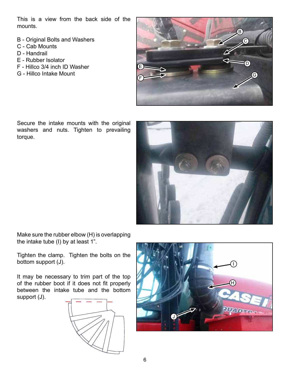This is a view from the back side of the mounts.

- B Original Bolts and Washers
- C Cab Mounts
- D Handrail
- E Rubber Isolator
- F Hillco 3/4 inch ID Washer
- G Hillco Intake Mount



Secure the intake mounts with the original washers and nuts. Tighten to prevailing torque.



Make sure the rubber elbow (H) is overlapping the intake tube (I) by at least 1".

Tighten the clamp. Tighten the bolts on the bottom support (J).

It may be necessary to trim part of the top of the rubber boot if it does not fit properly between the intake tube and the bottom support (J).